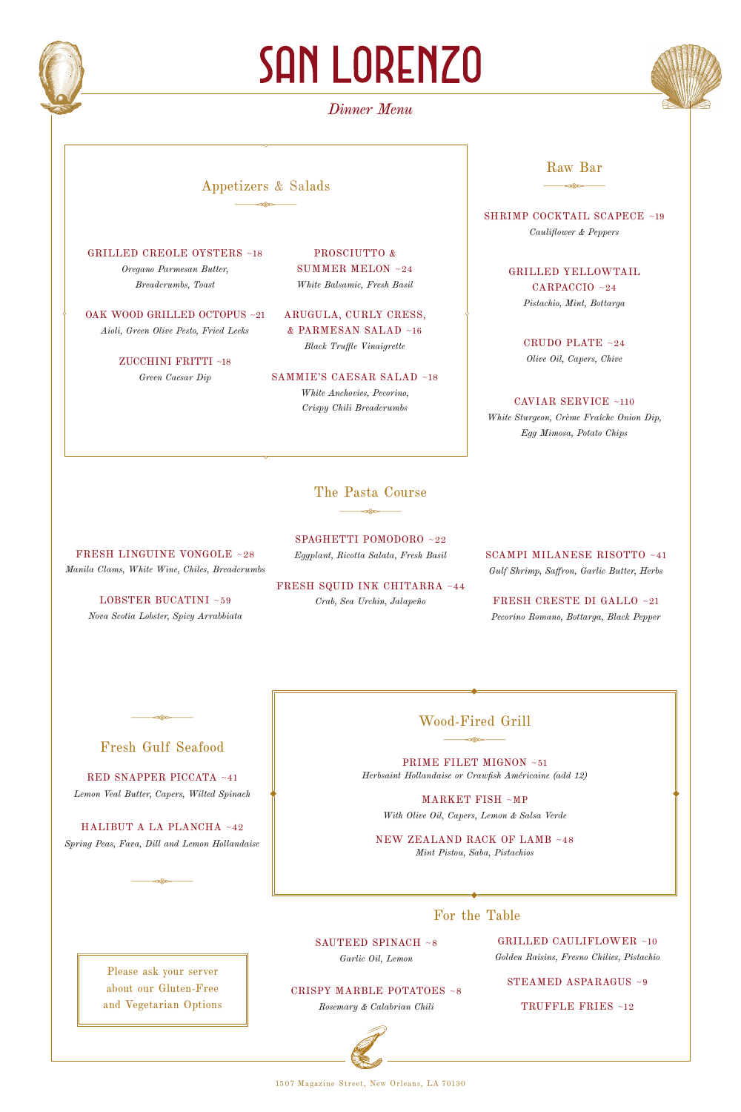

# **SAN LORENZO**

# *Dinner Menu*



#### Appetizers & Salads  $\frac{1}{\sqrt{2\pi}}$

GRILLED CREOLE OYSTERS ~18 *Oregano Parmesan Butter, Breadcrumbs, Toast*

OAK WOOD GRILLED OCTOPUS ~21 *Aioli, Green Olive Pesto, Fried Leeks*

> ZUCCHINI FRITTI ~18 *Green Caesar Dip*

PROSCIUTTO & SUMMER MELON ~24 *White Balsamic, Fresh Basil*

ARUGULA, CURLY CRESS, & PARMESAN SALAD ~16 *Black Truffle Vinaigrette*

SAMMIE'S CAESAR SALAD ~18 *White Anchovies, Pecorino, Crispy Chili Breadcrumbs* 

### The Pasta Course  $\frac{1}{\sqrt{2\pi}}\frac{1}{\sqrt{2\pi}}\frac{1}{\sqrt{2\pi}}\frac{1}{\sqrt{2\pi}}\frac{1}{\sqrt{2\pi}}\frac{1}{\sqrt{2\pi}}\frac{1}{\sqrt{2\pi}}\frac{1}{\sqrt{2\pi}}\frac{1}{\sqrt{2\pi}}\frac{1}{\sqrt{2\pi}}\frac{1}{\sqrt{2\pi}}\frac{1}{\sqrt{2\pi}}\frac{1}{\sqrt{2\pi}}\frac{1}{\sqrt{2\pi}}\frac{1}{\sqrt{2\pi}}\frac{1}{\sqrt{2\pi}}\frac{1}{\sqrt{2\pi}}\frac{1}{\sqrt{2\pi}}\frac{1$

SPAGHETTI POMODORO ~22 *Eggplant, Ricotta Salata, Fresh Basil*

FRESH SQUID INK CHITARRA ~44 *Crab, Sea Urchin, Jalapeño* 

SCAMPI MILANESE RISOTTO ~41 *Gulf Shrimp, Saffron, Garlic Butter, Herbs*

x& Raw Bar

SHRIMP COCKTAIL SCAPECE ~19 *Cauliflower & Peppers* 

> GRILLED YELLOWTAIL CARPACCIO ~24 *Pistachio, Mint, Bottarga*

> > CRUDO PLATE ~24 *Olive Oil, Capers, Chive*

CAVIAR SERVICE ~110 *White Sturgeon, Crème Fraîche Onion Dip, Egg Mimosa, Potato Chips*

FRESH CRESTE DI GALLO ~21 *Pecorino Romano, Bottarga, Black Pepper*

### Fresh Gulf Seafood

 $\frac{1}{\sqrt{2\pi}}$ 

FRESH LINGUINE VONGOLE ~28 *Manila Clams, White Wine, Chiles, Breadcrumbs*

> LOBSTER BUCATINI ~59 *Nova Scotia Lobster, Spicy Arrabbiata*

RED SNAPPER PICCATA ~41 *Lemon Veal Butter, Capers, Wilted Spinach* 

HALIBUT A LA PLANCHA ~42 *Spring Peas, Fava, Dill and Lemon Hollandaise*

 $\frac{1}{\sqrt{2\pi}}$ 

## Wood-Fired Grill  $\frac{1}{\sqrt{2\pi}}$

PRIME FILET MIGNON ~51 *Herbsaint Hollandaise or Crawfish Américaine (add 12)*

MARKET FISH ~MP *With Olive Oil, Capers, Lemon & Salsa Verde*

NEW ZEALAND RACK OF LAMB ~48 *Mint Pistou, Saba, Pistachios*

#### For the Table

Please ask your server about our Gluten-Free and Vegetarian Options SAUTEED SPINACH ~8 *Garlic Oil, Lemon*

GRILLED CAULIFLOWER ~10 *Golden Raisins, Fresno Chilies, Pistachio*

CRISPY MARBLE POTATOES ~8 *Rosemary & Calabrian Chili*

1507 Magazine Street, New Orleans, LA 70130

STEAMED ASPARAGUS ~9

TRUFFLE FRIES ~12